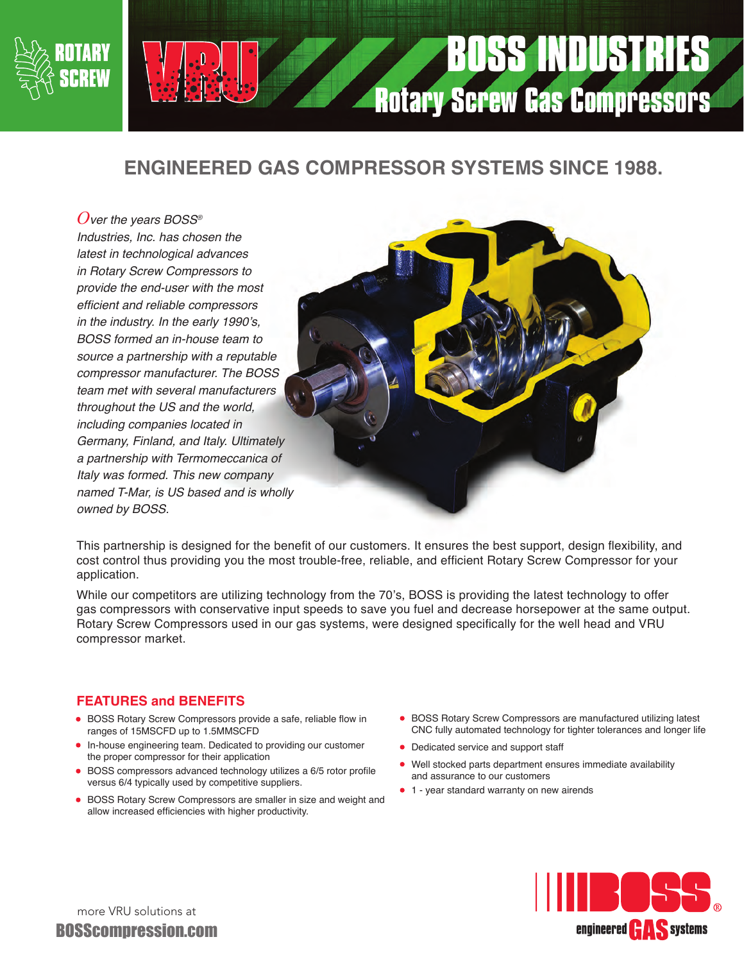

# **BOSS INDUSTRIES Rotary Screw Gas Compressors**

### **ENGINEERED GAS COMPRESSOR SYSTEMS SINCE 1988.**

*Over the years BOSS® Industries, Inc. has chosen the latest in technological advances in Rotary Screw Compressors to provide the end-user with the most*  efficient and reliable compressors in the industry. In the early 1990's, *BOSS formed an in-house team to*  source a partnership with a reputable *compressor manufacturer. The BOSS team met with several manufacturers throughout the US and the world, including companies located in Germany, Finland, and Italy. Ultimately a partnership with Termomeccanica of Italy was formed. This new company*  named T-Mar, is US based and is wholly owned by BOSS.



This partnership is designed for the benefit of our customers. It ensures the best support, design flexibility, and cost control thus providing you the most trouble-free, reliable, and efficient Rotary Screw Compressor for your application.

While our competitors are utilizing technology from the 70's, BOSS is providing the latest technology to offer gas compressors with conservative input speeds to save you fuel and decrease horsepower at the same output. Rotary Screw Compressors used in our gas systems, were designed specifically for the well head and VRU compressor market.

#### **FEATURES and BENEFITS**

- **•** BOSS Rotary Screw Compressors provide a safe, reliable flow in ranges of 15MSCFD up to 1.5MMSCFD
- **•** In-house engineering team. Dedicated to providing our customer the proper compressor for their application
- **•** BOSS compressors advanced technology utilizes a 6/5 rotor profile versus 6/4 typically used by competitive suppliers.
- **•** BOSS Rotary Screw Compressors are smaller in size and weight and allow increased efficiencies with higher productivity.
- **•** BOSS Rotary Screw Compressors are manufactured utilizing latest CNC fully automated technology for tighter tolerances and longer life
- **•** Dedicated service and support staff
- **•** Well stocked parts department ensures immediate availability and assurance to our customers
- **•** 1 year standard warranty on new airends



more VRU solutions at BOSScompression.com